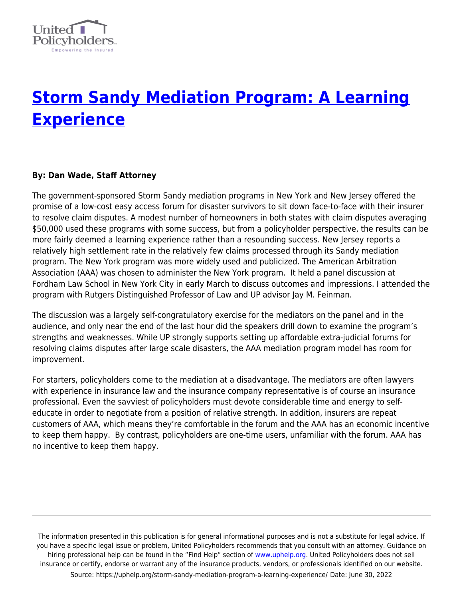

## **[Storm Sandy Mediation Program: A Learning](https://uphelp.org/storm-sandy-mediation-program-a-learning-experience/) [Experience](https://uphelp.org/storm-sandy-mediation-program-a-learning-experience/)**

## **By: Dan Wade, Staff Attorney**

The government-sponsored Storm Sandy mediation programs in New York and New Jersey offered the promise of a low-cost easy access forum for disaster survivors to sit down face-to-face with their insurer to resolve claim disputes. A modest number of homeowners in both states with claim disputes averaging \$50,000 used these programs with some success, but from a policyholder perspective, the results can be more fairly deemed a learning experience rather than a resounding success. New Jersey reports a relatively high settlement rate in the relatively few claims processed through its Sandy mediation program. The New York program was more widely used and publicized. The American Arbitration Association (AAA) was chosen to administer the New York program. It held a panel discussion at Fordham Law School in New York City in early March to discuss outcomes and impressions. I attended the program with Rutgers Distinguished Professor of Law and UP advisor Jay M. Feinman.

The discussion was a largely self-congratulatory exercise for the mediators on the panel and in the audience, and only near the end of the last hour did the speakers drill down to examine the program's strengths and weaknesses. While UP strongly supports setting up affordable extra-judicial forums for resolving claims disputes after large scale disasters, the AAA mediation program model has room for improvement.

For starters, policyholders come to the mediation at a disadvantage. The mediators are often lawyers with experience in insurance law and the insurance company representative is of course an insurance professional. Even the savviest of policyholders must devote considerable time and energy to selfeducate in order to negotiate from a position of relative strength. In addition, insurers are repeat customers of AAA, which means they're comfortable in the forum and the AAA has an economic incentive to keep them happy. By contrast, policyholders are one-time users, unfamiliar with the forum. AAA has no incentive to keep them happy.

The information presented in this publication is for general informational purposes and is not a substitute for legal advice. If you have a specific legal issue or problem, United Policyholders recommends that you consult with an attorney. Guidance on hiring professional help can be found in the "Find Help" section of [www.uphelp.org.](http://www.uphelp.org/) United Policyholders does not sell insurance or certify, endorse or warrant any of the insurance products, vendors, or professionals identified on our website. Source: https://uphelp.org/storm-sandy-mediation-program-a-learning-experience/ Date: June 30, 2022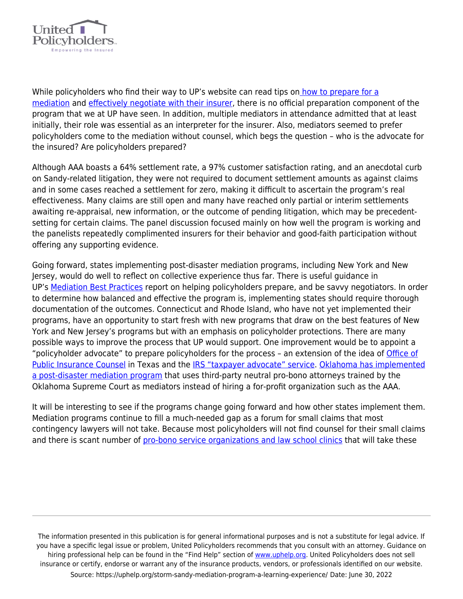

While policyholders who find their way to UP's website can read tips o[n how to prepare for a](https://uphelp.org/wp-content/uploads/2020/09/A-Policyholders-Guide-to-Mediation_0.pdf) [mediation](https://uphelp.org/wp-content/uploads/2020/09/A-Policyholders-Guide-to-Mediation_0.pdf) and [effectively negotiate with their insurer,](http://uphelp.org/pdfs/Effective_Claims.pdf) there is no official preparation component of the program that we at UP have seen. In addition, multiple mediators in attendance admitted that at least initially, their role was essential as an interpreter for the insurer. Also, mediators seemed to prefer policyholders come to the mediation without counsel, which begs the question – who is the advocate for the insured? Are policyholders prepared?

Although AAA boasts a 64% settlement rate, a 97% customer satisfaction rating, and an anecdotal curb on Sandy-related litigation, they were not required to document settlement amounts as against claims and in some cases reached a settlement for zero, making it difficult to ascertain the program's real effectiveness. Many claims are still open and many have reached only partial or interim settlements awaiting re-appraisal, new information, or the outcome of pending litigation, which may be precedentsetting for certain claims. The panel discussion focused mainly on how well the program is working and the panelists repeatedly complimented insurers for their behavior and good-faith participation without offering any supporting evidence.

Going forward, states implementing post-disaster mediation programs, including New York and New Jersey, would do well to reflect on collective experience thus far. There is useful guidance in UP's [Mediation Best Practices](https://uphelp.org/wp-content/uploads/2014/03/FINAL-Best-Practices-for-Post-Disaster-Insurance-Claim-Mediation-Programs-2-26-13.pdf) report on helping policyholders prepare, and be savvy negotiators. In order to determine how balanced and effective the program is, implementing states should require thorough documentation of the outcomes. Connecticut and Rhode Island, who have not yet implemented their programs, have an opportunity to start fresh with new programs that draw on the best features of New York and New Jersey's programs but with an emphasis on policyholder protections. There are many possible ways to improve the process that UP would support. One improvement would be to appoint a "policyholder advocate" to prepare policyholders for the process - an extension of the idea of [Office of](http://www.opic.state.tx.us/) [Public Insurance Counsel](http://www.opic.state.tx.us/) in Texas and the [IRS "taxpayer advocate" service](http://www.irs.gov/Advocate). [Oklahoma has implemented](https://www.ok.gov/oid/Consumers/Consumer_Assistance/EAGLE.html) [a post-disaster mediation program](https://www.ok.gov/oid/Consumers/Consumer_Assistance/EAGLE.html) that uses third-party neutral pro-bono attorneys trained by the Oklahoma Supreme Court as mediators instead of hiring a for-profit organization such as the AAA.

It will be interesting to see if the programs change going forward and how other states implement them. Mediation programs continue to fill a much-needed gap as a forum for small claims that most contingency lawyers will not take. Because most policyholders will not find counsel for their small claims and there is scant number of [pro-bono service organizations and law school clinics](http://www.tourolaw.edu/tlcheart/default.aspx?pageid=710) that will take these

The information presented in this publication is for general informational purposes and is not a substitute for legal advice. If you have a specific legal issue or problem, United Policyholders recommends that you consult with an attorney. Guidance on hiring professional help can be found in the "Find Help" section of [www.uphelp.org.](http://www.uphelp.org/) United Policyholders does not sell insurance or certify, endorse or warrant any of the insurance products, vendors, or professionals identified on our website. Source: https://uphelp.org/storm-sandy-mediation-program-a-learning-experience/ Date: June 30, 2022